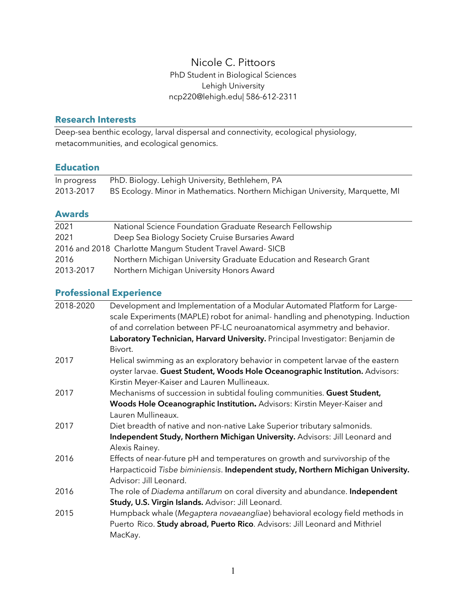# Nicole C. Pittoors PhD Student in Biological Sciences Lehigh University ncp220@lehigh.edu| 586-612-2311

#### **Research Interests**

Deep-sea benthic ecology, larval dispersal and connectivity, ecological physiology, metacommunities, and ecological genomics.

# **Education**

| In progress | PhD. Biology. Lehigh University, Bethlehem, PA                                |
|-------------|-------------------------------------------------------------------------------|
| 2013-2017   | BS Ecology. Minor in Mathematics. Northern Michigan University, Marquette, MI |

#### **Awards**

| 2021      | National Science Foundation Graduate Research Fellowship           |
|-----------|--------------------------------------------------------------------|
| 2021      | Deep Sea Biology Society Cruise Bursaries Award                    |
|           | 2016 and 2018 Charlotte Mangum Student Travel Award-SICB           |
| 2016      | Northern Michigan University Graduate Education and Research Grant |
| 2013-2017 | Northern Michigan University Honors Award                          |
|           |                                                                    |

# **Professional Experience**

| 2018-2020 | Development and Implementation of a Modular Automated Platform for Large-        |
|-----------|----------------------------------------------------------------------------------|
|           | scale Experiments (MAPLE) robot for animal- handling and phenotyping. Induction  |
|           | of and correlation between PF-LC neuroanatomical asymmetry and behavior.         |
|           | Laboratory Technician, Harvard University. Principal Investigator: Benjamin de   |
|           | Bivort.                                                                          |
| 2017      | Helical swimming as an exploratory behavior in competent larvae of the eastern   |
|           | oyster larvae. Guest Student, Woods Hole Oceanographic Institution. Advisors:    |
|           | Kirstin Meyer-Kaiser and Lauren Mullineaux.                                      |
| 2017      | Mechanisms of succession in subtidal fouling communities. Guest Student,         |
|           | Woods Hole Oceanographic Institution. Advisors: Kirstin Meyer-Kaiser and         |
|           | Lauren Mullineaux.                                                               |
| 2017      | Diet breadth of native and non-native Lake Superior tributary salmonids.         |
|           | Independent Study, Northern Michigan University. Advisors: Jill Leonard and      |
|           | Alexis Rainey.                                                                   |
| 2016      | Effects of near-future pH and temperatures on growth and survivorship of the     |
|           | Harpacticoid Tisbe biminiensis. Independent study, Northern Michigan University. |
|           | Advisor: Jill Leonard.                                                           |
| 2016      | The role of Diadema antillarum on coral diversity and abundance. Independent     |
|           | Study, U.S. Virgin Islands. Advisor: Jill Leonard.                               |
| 2015      | Humpback whale (Megaptera novaeangliae) behavioral ecology field methods in      |
|           | Puerto Rico. Study abroad, Puerto Rico. Advisors: Jill Leonard and Mithriel      |
|           | MacKay.                                                                          |
|           |                                                                                  |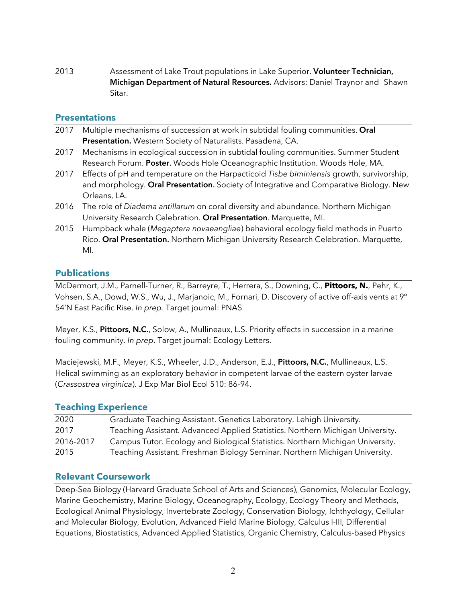2013 Assessment of Lake Trout populations in Lake Superior. **Volunteer Technician, Michigan Department of Natural Resources.** Advisors: Daniel Traynor and Shawn Sitar.

#### **Presentations**

- 2017 Multiple mechanisms of succession at work in subtidal fouling communities. **Oral Presentation.** Western Society of Naturalists. Pasadena, CA.
- 2017 Mechanisms in ecological succession in subtidal fouling communities. Summer Student Research Forum. **Poster**. Woods Hole Oceanographic Institution. Woods Hole, MA.
- 2017 Effects of pH and temperature on the Harpacticoid *Tisbe biminiensis* growth, survivorship, and morphology. **Oral Presentation**. Society of Integrative and Comparative Biology. New Orleans, LA.
- 2016 The role of *Diadema antillarum* on coral diversity and abundance. Northern Michigan University Research Celebration. **Oral Presentation**. Marquette, MI.
- 2015 Humpback whale (*Megaptera novaeangliae*) behavioral ecology field methods in Puerto Rico. **Oral Presentation**. Northern Michigan University Research Celebration. Marquette, MI.

# **Publications**

McDermort, J.M., Parnell-Turner, R., Barreyre, T., Herrera, S., Downing, C., **Pittoors, N.**, Pehr, K., Vohsen, S.A., Dowd, W.S., Wu, J., Marjanoic, M., Fornari, D. Discovery of active off-axis vents at 9º 54'N East Pacific Rise. *In prep.* Target journal: PNAS

Meyer, K.S., **Pittoors, N.C.**, Solow, A., Mullineaux, L.S. Priority effects in succession in a marine fouling community. *In prep*. Target journal: Ecology Letters.

Maciejewski, M.F., Meyer, K.S., Wheeler, J.D., Anderson, E.J., **Pittoors, N.C.**, Mullineaux, L.S. Helical swimming as an exploratory behavior in competent larvae of the eastern oyster larvae (*Crassostrea virginica*). J Exp Mar Biol Ecol 510: 86-94.

#### **Teaching Experience**

| 2020      | Graduate Teaching Assistant. Genetics Laboratory. Lehigh University.           |
|-----------|--------------------------------------------------------------------------------|
| 2017      | Teaching Assistant. Advanced Applied Statistics. Northern Michigan University. |
| 2016-2017 | Campus Tutor. Ecology and Biological Statistics. Northern Michigan University. |
| 2015      | Teaching Assistant. Freshman Biology Seminar. Northern Michigan University.    |

# **Relevant Coursework**

Deep-Sea Biology (Harvard Graduate School of Arts and Sciences), Genomics, Molecular Ecology, Marine Geochemistry, Marine Biology, Oceanography, Ecology, Ecology Theory and Methods, Ecological Animal Physiology, Invertebrate Zoology, Conservation Biology, Ichthyology, Cellular and Molecular Biology, Evolution, Advanced Field Marine Biology, Calculus I-III, Differential Equations, Biostatistics, Advanced Applied Statistics, Organic Chemistry, Calculus-based Physics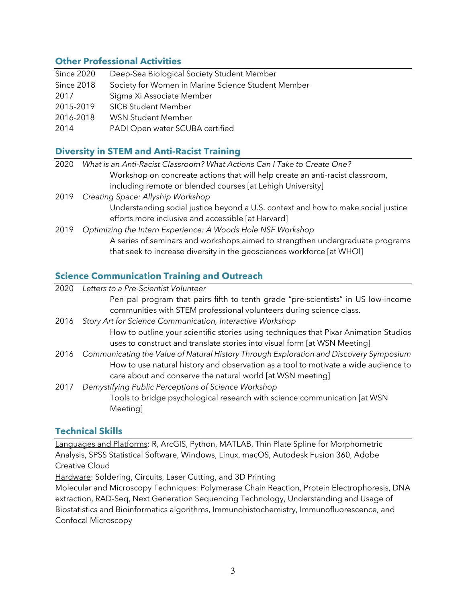#### **Other Professional Activities**

| Since 2020                                                       |                                                                          | Deep-Sea Biological Society Student Member                                    |
|------------------------------------------------------------------|--------------------------------------------------------------------------|-------------------------------------------------------------------------------|
| Society for Women in Marine Science Student Member<br>Since 2018 |                                                                          |                                                                               |
| 2017                                                             |                                                                          | Sigma Xi Associate Member                                                     |
| 2015-2019<br><b>SICB Student Member</b>                          |                                                                          |                                                                               |
| 2016-2018                                                        |                                                                          | WSN Student Member                                                            |
| 2014                                                             |                                                                          | PADI Open water SCUBA certified                                               |
| <b>Diversity in STEM and Anti-Racist Training</b>                |                                                                          |                                                                               |
| 2020                                                             | What is an Anti-Racist Classroom? What Actions Can I Take to Create One? |                                                                               |
|                                                                  |                                                                          | Workshop on concreate actions that will help create an anti-racist classroom, |

- including remote or blended courses [at Lehigh University] 2019 *Creating Space: Allyship Workshop* Understanding social justice beyond a U.S. context and how to make social justice efforts more inclusive and accessible [at Harvard]
- 2019 *Optimizing the Intern Experience: A Woods Hole NSF Workshop* A series of seminars and workshops aimed to strengthen undergraduate programs that seek to increase diversity in the geosciences workforce [at WHOI]

# **Science Communication Training and Outreach**

| 2020 | Letters to a Pre-Scientist Volunteer                                                        |
|------|---------------------------------------------------------------------------------------------|
|      | Pen pal program that pairs fifth to tenth grade "pre-scientists" in US low-income           |
|      | communities with STEM professional volunteers during science class.                         |
| 2016 | Story Art for Science Communication, Interactive Workshop                                   |
|      | How to outline your scientific stories using techniques that Pixar Animation Studios        |
|      | uses to construct and translate stories into visual form [at WSN Meeting]                   |
|      | 2016 Communicating the Value of Natural History Through Exploration and Discovery Symposium |
|      | How to use natural history and observation as a tool to motivate a wide audience to         |
|      | care about and conserve the natural world [at WSN meeting]                                  |
| 2017 | Demystifying Public Perceptions of Science Workshop                                         |
|      | Tools to bridge psychological research with science communication [at WSN                   |
|      | Meeting                                                                                     |

# **Technical Skills**

Languages and Platforms: R, ArcGIS, Python, MATLAB, Thin Plate Spline for Morphometric Analysis, SPSS Statistical Software, Windows, Linux, macOS, Autodesk Fusion 360, Adobe Creative Cloud

Hardware: Soldering, Circuits, Laser Cutting, and 3D Printing

Molecular and Microscopy Techniques: Polymerase Chain Reaction, Protein Electrophoresis, DNA extraction, RAD-Seq, Next Generation Sequencing Technology, Understanding and Usage of Biostatistics and Bioinformatics algorithms, Immunohistochemistry, Immunofluorescence, and Confocal Microscopy